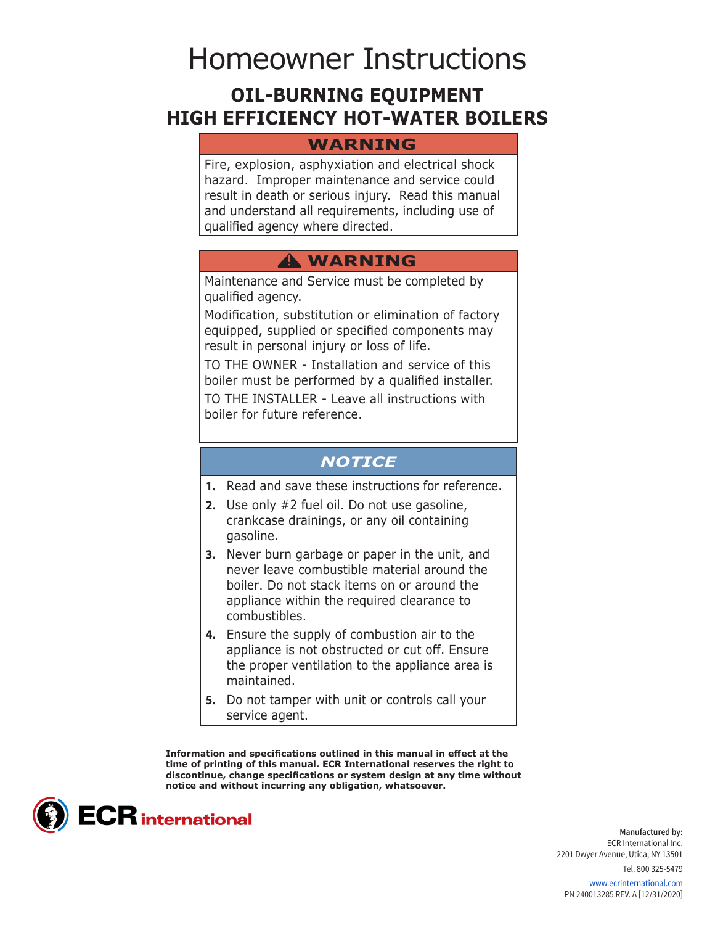# Homeowner Instructions

# **OIL-BURNING EQUIPMENT HIGH EFFICIENCY HOT-WATER BOILERS**

## **WARNING**

Fire, explosion, asphyxiation and electrical shock hazard. Improper maintenance and service could result in death or serious injury. Read this manual and understand all requirements, including use of qualified agency where directed.

# **WARNING !**

Maintenance and Service must be completed by qualified agency.

Modification, substitution or elimination of factory equipped, supplied or specified components may result in personal injury or loss of life.

TO THE OWNER - Installation and service of this boiler must be performed by a qualified installer. TO THE INSTALLER - Leave all instructions with

boiler for future reference.

## *NOTICE*

- **1.** Read and save these instructions for reference.
- **2.** Use only #2 fuel oil. Do not use gasoline, crankcase drainings, or any oil containing gasoline.
- **3.** Never burn garbage or paper in the unit, and never leave combustible material around the boiler. Do not stack items on or around the appliance within the required clearance to combustibles.
- **4.** Ensure the supply of combustion air to the appliance is not obstructed or cut off. Ensure the proper ventilation to the appliance area is maintained.
- **5.** Do not tamper with unit or controls call your service agent.

**Information and specifications outlined in this manual in effect at the time of printing of this manual. ECR International reserves the right to discontinue, change specifications or system design at any time without notice and without incurring any obligation, whatsoever.**



**Manufactured by:** ECR International Inc. 2201 Dwyer Avenue, Utica, NY 13501

> Tel. 800 325-5479 www.ecrinternational.com

PN 240013285 REV. A [12/31/2020]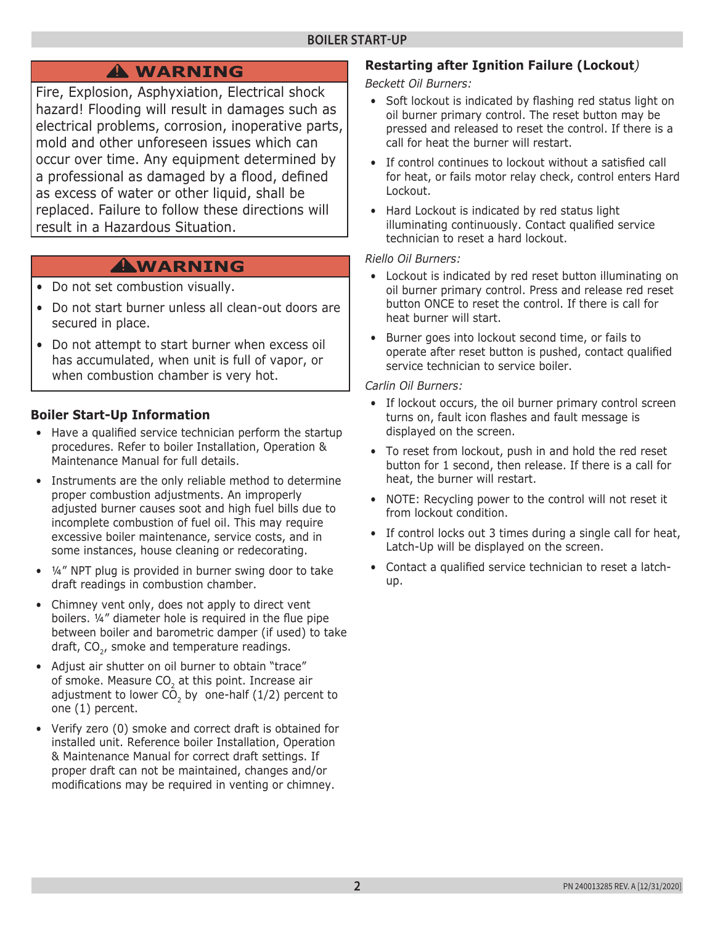# **WARNING !**

Fire, Explosion, Asphyxiation, Electrical shock hazard! Flooding will result in damages such as electrical problems, corrosion, inoperative parts, mold and other unforeseen issues which can occur over time. Any equipment determined by a professional as damaged by a flood, defined as excess of water or other liquid, shall be replaced. Failure to follow these directions will result in a Hazardous Situation.

# **WARNING !**

- Do not set combustion visually.
- Do not start burner unless all clean-out doors are secured in place.
- Do not attempt to start burner when excess oil has accumulated, when unit is full of vapor, or when combustion chamber is very hot.

## **Boiler Start-Up Information**

- Have a qualified service technician perform the startup procedures. Refer to boiler Installation, Operation & Maintenance Manual for full details.
- Instruments are the only reliable method to determine proper combustion adjustments. An improperly adjusted burner causes soot and high fuel bills due to incomplete combustion of fuel oil. This may require excessive boiler maintenance, service costs, and in some instances, house cleaning or redecorating.
- ¼" NPT plug is provided in burner swing door to take draft readings in combustion chamber.
- Chimney vent only, does not apply to direct vent boilers. ¼" diameter hole is required in the flue pipe between boiler and barometric damper (if used) to take draft,  $CO<sub>2</sub>$ , smoke and temperature readings.
- Adjust air shutter on oil burner to obtain "trace" of smoke. Measure CO<sub>2</sub> at this point. Increase air adjustment to lower  $C\overline{O}_2$  by one-half (1/2) percent to one (1) percent.
- Verify zero (0) smoke and correct draft is obtained for installed unit. Reference boiler Installation, Operation & Maintenance Manual for correct draft settings. If proper draft can not be maintained, changes and/or modifications may be required in venting or chimney.

# **Restarting after Ignition Failure (Lockout***)*

*Beckett Oil Burners:*

- Soft lockout is indicated by flashing red status light on oil burner primary control. The reset button may be pressed and released to reset the control. If there is a call for heat the burner will restart.
- If control continues to lockout without a satisfied call for heat, or fails motor relay check, control enters Hard Lockout.
- Hard Lockout is indicated by red status light illuminating continuously. Contact qualified service technician to reset a hard lockout.

#### *Riello Oil Burners:*

- Lockout is indicated by red reset button illuminating on oil burner primary control. Press and release red reset button ONCE to reset the control. If there is call for heat burner will start.
- Burner goes into lockout second time, or fails to operate after reset button is pushed, contact qualified service technician to service boiler.

#### *Carlin Oil Burners:*

- If lockout occurs, the oil burner primary control screen turns on, fault icon flashes and fault message is displayed on the screen.
- To reset from lockout, push in and hold the red reset button for 1 second, then release. If there is a call for heat, the burner will restart.
- NOTE: Recycling power to the control will not reset it from lockout condition.
- If control locks out 3 times during a single call for heat, Latch-Up will be displayed on the screen.
- Contact a qualified service technician to reset a latchup.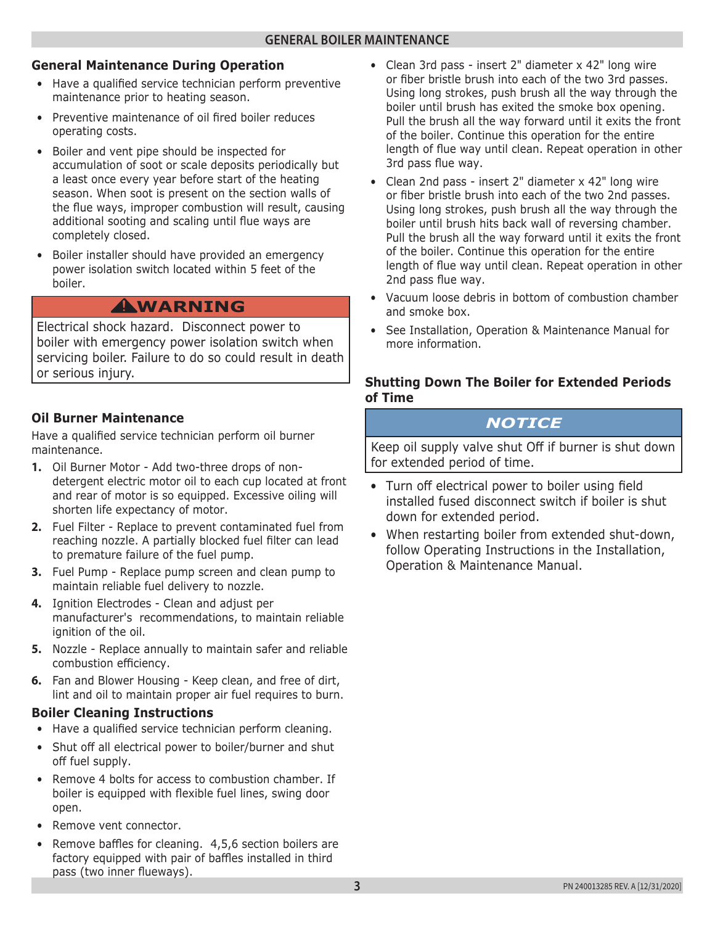### **General Maintenance During Operation**

- Have a qualified service technician perform preventive maintenance prior to heating season.
- Preventive maintenance of oil fired boiler reduces operating costs.
- Boiler and vent pipe should be inspected for accumulation of soot or scale deposits periodically but a least once every year before start of the heating season. When soot is present on the section walls of the flue ways, improper combustion will result, causing additional sooting and scaling until flue ways are completely closed.
- Boiler installer should have provided an emergency power isolation switch located within 5 feet of the boiler.

# **WARNING !**

Electrical shock hazard. Disconnect power to boiler with emergency power isolation switch when servicing boiler. Failure to do so could result in death or serious injury.

## **Oil Burner Maintenance**

Have a qualified service technician perform oil burner maintenance.

- **1.** Oil Burner Motor Add two-three drops of nondetergent electric motor oil to each cup located at front and rear of motor is so equipped. Excessive oiling will shorten life expectancy of motor.
- **2.** Fuel Filter Replace to prevent contaminated fuel from reaching nozzle. A partially blocked fuel filter can lead to premature failure of the fuel pump.
- **3.** Fuel Pump Replace pump screen and clean pump to maintain reliable fuel delivery to nozzle.
- **4.** Ignition Electrodes Clean and adjust per manufacturer's recommendations, to maintain reliable ignition of the oil.
- **5.** Nozzle Replace annually to maintain safer and reliable combustion efficiency.
- **6.** Fan and Blower Housing Keep clean, and free of dirt, lint and oil to maintain proper air fuel requires to burn.

#### **Boiler Cleaning Instructions**

- Have a qualified service technician perform cleaning.
- Shut off all electrical power to boiler/burner and shut off fuel supply.
- Remove 4 bolts for access to combustion chamber. If boiler is equipped with flexible fuel lines, swing door open.
- Remove vent connector.
- Remove baffles for cleaning. 4,5,6 section boilers are factory equipped with pair of baffles installed in third pass (two inner flueways).
- Clean 3rd pass insert 2" diameter x 42" long wire or fiber bristle brush into each of the two 3rd passes. Using long strokes, push brush all the way through the boiler until brush has exited the smoke box opening. Pull the brush all the way forward until it exits the front of the boiler. Continue this operation for the entire length of flue way until clean. Repeat operation in other 3rd pass flue way.
- Clean 2nd pass insert 2" diameter x 42" long wire or fiber bristle brush into each of the two 2nd passes. Using long strokes, push brush all the way through the boiler until brush hits back wall of reversing chamber. Pull the brush all the way forward until it exits the front of the boiler. Continue this operation for the entire length of flue way until clean. Repeat operation in other 2nd pass flue way.
- Vacuum loose debris in bottom of combustion chamber and smoke box.
- See Installation, Operation & Maintenance Manual for more information.

## **Shutting Down The Boiler for Extended Periods of Time**

## *NOTICE*

Keep oil supply valve shut Off if burner is shut down for extended period of time.

- Turn off electrical power to boiler using field installed fused disconnect switch if boiler is shut down for extended period.
- When restarting boiler from extended shut-down, follow Operating Instructions in the Installation, Operation & Maintenance Manual.